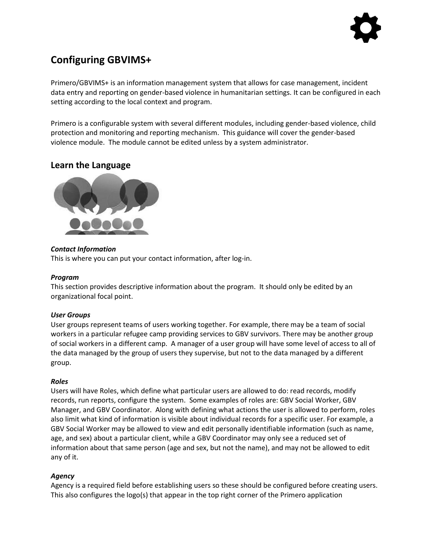# **Configuring GBVIMS+**

Primero/GBVIMS+ is an information management system that allows for case management, incident data entry and reporting on gender-based violence in humanitarian settings. It can be configured in each setting according to the local context and program.

Primero is a configurable system with several different modules, including gender-based violence, child protection and monitoring and reporting mechanism. This guidance will cover the gender-based violence module. The module cannot be edited unless by a system administrator.

## **Learn the Language**



## *Contact Information*

This is where you can put your contact information, after log-in.

## *Program*

This section provides descriptive information about the program. It should only be edited by an organizational focal point.

## *User Groups*

User groups represent teams of users working together. For example, there may be a team of social workers in a particular refugee camp providing services to GBV survivors. There may be another group of social workers in a different camp. A manager of a user group will have some level of access to all of the data managed by the group of users they supervise, but not to the data managed by a different group.

#### *Roles*

Users will have Roles, which define what particular users are allowed to do: read records, modify records, run reports, configure the system. Some examples of roles are: GBV Social Worker, GBV Manager, and GBV Coordinator. Along with defining what actions the user is allowed to perform, roles also limit what kind of information is visible about individual records for a specific user. For example, a GBV Social Worker may be allowed to view and edit personally identifiable information (such as name, age, and sex) about a particular client, while a GBV Coordinator may only see a reduced set of information about that same person (age and sex, but not the name), and may not be allowed to edit any of it.

## *Agency*

Agency is a required field before establishing users so these should be configured before creating users. This also configures the logo(s) that appear in the top right corner of the Primero application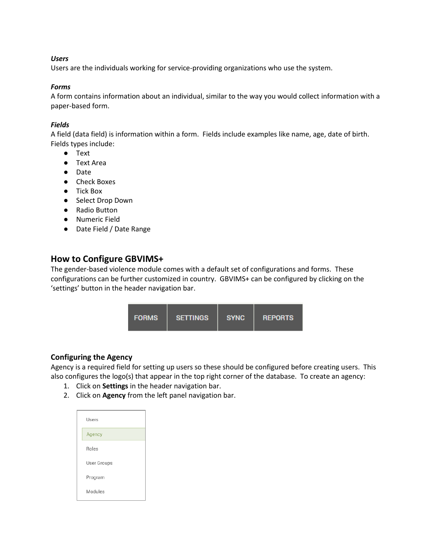#### *Users*

Users are the individuals working for service-providing organizations who use the system.

#### *Forms*

A form contains information about an individual, similar to the way you would collect information with a paper-based form.

## *Fields*

A field (data field) is information within a form. Fields include examples like name, age, date of birth. Fields types include:

- Text
- Text Area
- Date
- Check Boxes
- Tick Box
- Select Drop Down
- Radio Button
- Numeric Field
- Date Field / Date Range

## **How to Configure GBVIMS+**

The gender-based violence module comes with a default set of configurations and forms. These configurations can be further customized in country. GBVIMS+ can be configured by clicking on the 'settings' button in the header navigation bar.



## **Configuring the Agency**

Agency is a required field for setting up users so these should be configured before creating users. This also configures the logo(s) that appear in the top right corner of the database. To create an agency:

- 1. Click on **Settings** in the header navigation bar.
- 2. Click on **Agency** from the left panel navigation bar.

| Users       |
|-------------|
| Agency      |
| Roles       |
| User Groups |
| Program     |
| Modules     |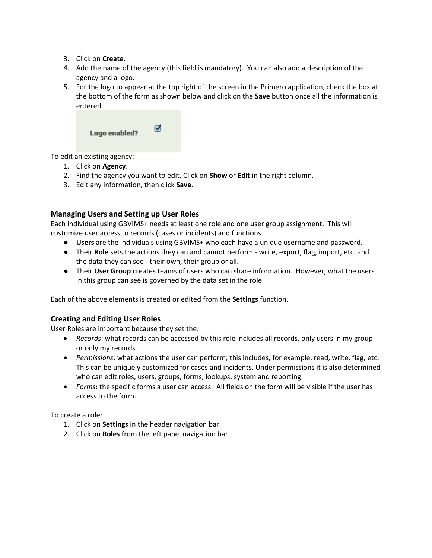- 3. Click on **Create**.
- 4. Add the name of the agency (this field is mandatory). You can also add a description of the agency and a logo.
- 5. For the logo to appear at the top right of the screen in the Primero application, check the box at the bottom of the form as shown below and click on the **Save** button once all the information is entered.

| Logo enabled? | ☑ |
|---------------|---|
|               |   |

To edit an existing agency:

- 1. Click on **Agency**.
- 2. Find the agency you want to edit. Click on **Show** or **Edit** in the right column.
- 3. Edit any information, then click **Save**.

## **Managing Users and Setting up User Roles**

Each individual using GBVIMS+ needs at least one role and one user group assignment. This will customize user access to records (cases or incidents) and functions.

- **Users** are the individuals using GBVIMS+ who each have a unique username and password.
- Their **Role** sets the actions they can and cannot perform write, export, flag, import, etc. and the data they can see - their own, their group or all.
- Their **User Group** creates teams of users who can share information. However, what the users in this group can see is governed by the data set in the role.

Each of the above elements is created or edited from the **Settings** function.

## **Creating and Editing User Roles**

User Roles are important because they set the:

- *Records*: what records can be accessed by this role includes all records, only users in my group or only my records.
- *Permissions*: what actions the user can perform; this includes, for example, read, write, flag, etc. This can be uniquely customized for cases and incidents. Under permissions it is also determined who can edit roles, users, groups, forms, lookups, system and reporting.
- *Forms*: the specific forms a user can access. All fields on the form will be visible if the user has access to the form.

To create a role:

- 1. Click on **Settings** in the header navigation bar.
- 2. Click on **Roles** from the left panel navigation bar.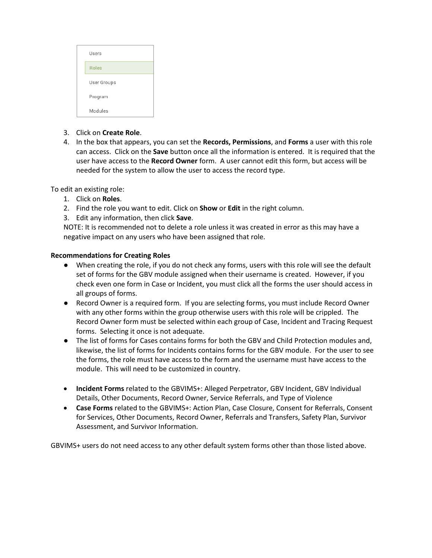| Users       |
|-------------|
| Roles       |
| User Groups |
| Program     |
| Modules     |

- 3. Click on **Create Role**.
- 4. In the box that appears, you can set the **Records, Permissions**, and **Forms** a user with this role can access. Click on the **Save** button once all the information is entered. It is required that the user have access to the **Record Owner** form. A user cannot edit this form, but access will be needed for the system to allow the user to access the record type.

To edit an existing role:

- 1. Click on **Roles**.
- 2. Find the role you want to edit. Click on **Show** or **Edit** in the right column.
- 3. Edit any information, then click **Save**.

NOTE: It is recommended not to delete a role unless it was created in error as this may have a negative impact on any users who have been assigned that role.

#### **Recommendations for Creating Roles**

- When creating the role, if you do not check any forms, users with this role will see the default set of forms for the GBV module assigned when their username is created. However, if you check even one form in Case or Incident, you must click all the forms the user should access in all groups of forms.
- Record Owner is a required form. If you are selecting forms, you must include Record Owner with any other forms within the group otherwise users with this role will be crippled. The Record Owner form must be selected within each group of Case, Incident and Tracing Request forms. Selecting it once is not adequate.
- The list of forms for Cases contains forms for both the GBV and Child Protection modules and, likewise, the list of forms for Incidents contains forms for the GBV module. For the user to see the forms, the role must have access to the form and the username must have access to the module. This will need to be customized in country.
- **Incident Forms** related to the GBVIMS+: Alleged Perpetrator, GBV Incident, GBV Individual Details, Other Documents, Record Owner, Service Referrals, and Type of Violence
- **Case Forms** related to the GBVIMS+: Action Plan, Case Closure, Consent for Referrals, Consent for Services, Other Documents, Record Owner, Referrals and Transfers, Safety Plan, Survivor Assessment, and Survivor Information.

GBVIMS+ users do not need access to any other default system forms other than those listed above.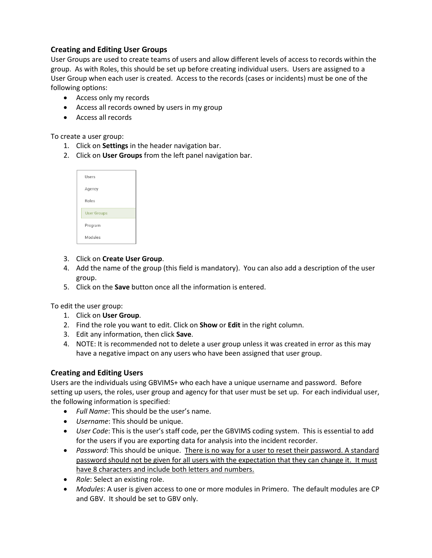## **Creating and Editing User Groups**

User Groups are used to create teams of users and allow different levels of access to records within the group. As with Roles, this should be set up before creating individual users. Users are assigned to a User Group when each user is created. Access to the records (cases or incidents) must be one of the following options:

- Access only my records
- Access all records owned by users in my group
- Access all records

To create a user group:

- 1. Click on **Settings** in the header navigation bar.
- 2. Click on **User Groups** from the left panel navigation bar.

| Users              |  |
|--------------------|--|
| Agency             |  |
| Roles              |  |
| <b>User Groups</b> |  |
| Program            |  |
| Modules            |  |

- 3. Click on **Create User Group**.
- 4. Add the name of the group (this field is mandatory). You can also add a description of the user group.
- 5. Click on the **Save** button once all the information is entered.

To edit the user group:

- 1. Click on **User Group**.
- 2. Find the role you want to edit. Click on **Show** or **Edit** in the right column.
- 3. Edit any information, then click **Save**.
- 4. NOTE: It is recommended not to delete a user group unless it was created in error as this may have a negative impact on any users who have been assigned that user group.

## **Creating and Editing Users**

Users are the individuals using GBVIMS+ who each have a unique username and password. Before setting up users, the roles, user group and agency for that user must be set up. For each individual user, the following information is specified:

- *Full Name*: This should be the user's name.
- *Username*: This should be unique.
- *User Code*: This is the user's staff code, per the GBVIMS coding system. This is essential to add for the users if you are exporting data for analysis into the incident recorder.
- *Password*: This should be unique. There is no way for a user to reset their password. A standard password should not be given for all users with the expectation that they can change it. It must have 8 characters and include both letters and numbers.
- *Role*: Select an existing role.
- *Modules*: A user is given access to one or more modules in Primero. The default modules are CP and GBV. It should be set to GBV only.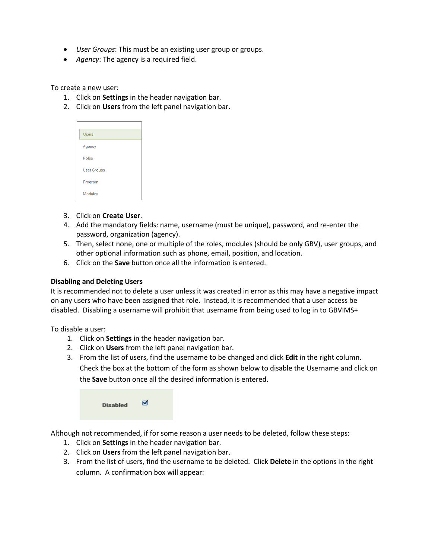- *User Groups*: This must be an existing user group or groups.
- *Agency*: The agency is a required field.

To create a new user:

- 1. Click on **Settings** in the header navigation bar.
- 2. Click on **Users** from the left panel navigation bar.

| <b>Users</b>       |
|--------------------|
| Agency             |
| <b>Roles</b>       |
| <b>User Groups</b> |
| Program            |
| <b>Modules</b>     |

- 3. Click on **Create User**.
- 4. Add the mandatory fields: name, username (must be unique), password, and re-enter the password, organization (agency).
- 5. Then, select none, one or multiple of the roles, modules (should be only GBV), user groups, and other optional information such as phone, email, position, and location.
- 6. Click on the **Save** button once all the information is entered.

#### **Disabling and Deleting Users**

It is recommended not to delete a user unless it was created in error as this may have a negative impact on any users who have been assigned that role. Instead, it is recommended that a user access be disabled. Disabling a username will prohibit that username from being used to log in to GBVIMS+

To disable a user:

- 1. Click on **Settings** in the header navigation bar.
- 2. Click on **Users** from the left panel navigation bar.
- 3. From the list of users, find the username to be changed and click **Edit** in the right column. Check the box at the bottom of the form as shown below to disable the Username and click on the **Save** button once all the desired information is entered.

| <b>Disabled</b> | ☑ |
|-----------------|---|
|                 |   |

Although not recommended, if for some reason a user needs to be deleted, follow these steps:

- 1. Click on **Settings** in the header navigation bar.
- 2. Click on **Users** from the left panel navigation bar.
- 3. From the list of users, find the username to be deleted. Click **Delete** in the options in the right column. A confirmation box will appear: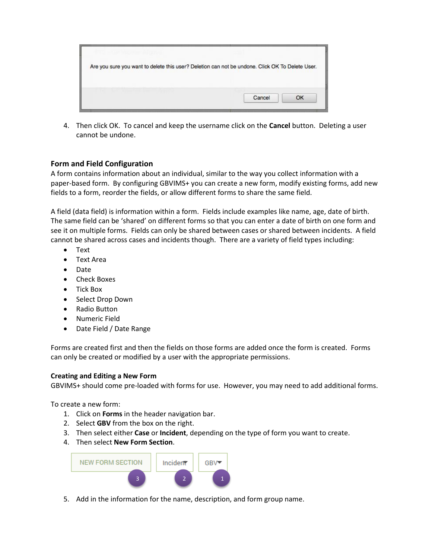| Are you sure you want to delete this user? Deletion can not be undone. Click OK To Delete User. |  |
|-------------------------------------------------------------------------------------------------|--|
|                                                                                                 |  |
|                                                                                                 |  |

4. Then click OK. To cancel and keep the username click on the **Cancel** button. Deleting a user cannot be undone.

## **Form and Field Configuration**

A form contains information about an individual, similar to the way you collect information with a paper-based form. By configuring GBVIMS+ you can create a new form, modify existing forms, add new fields to a form, reorder the fields, or allow different forms to share the same field.

A field (data field) is information within a form. Fields include examples like name, age, date of birth. The same field can be 'shared' on different forms so that you can enter a date of birth on one form and see it on multiple forms. Fields can only be shared between cases or shared between incidents. A field cannot be shared across cases and incidents though. There are a variety of field types including:

- Text
- Text Area
- Date
- Check Boxes
- Tick Box
- Select Drop Down
- Radio Button
- Numeric Field
- Date Field / Date Range

Forms are created first and then the fields on those forms are added once the form is created. Forms can only be created or modified by a user with the appropriate permissions.

#### **Creating and Editing a New Form**

GBVIMS+ should come pre-loaded with forms for use. However, you may need to add additional forms.

To create a new form:

- 1. Click on **Forms** in the header navigation bar.
- 2. Select **GBV** from the box on the right.
- 3. Then select either **Case** or **Incident**, depending on the type of form you want to create.
- 4. Then select **New Form Section**.



5. Add in the information for the name, description, and form group name.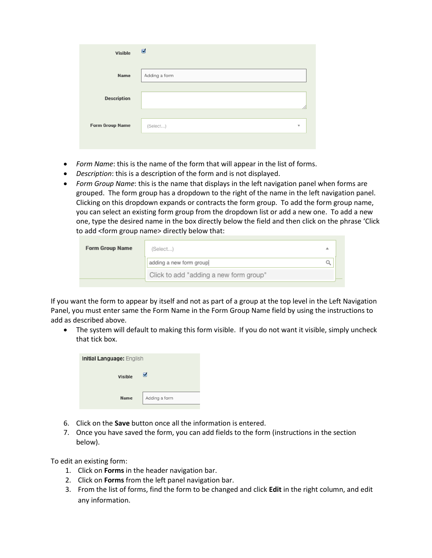| <b>Visible</b>         | ☑                                   |
|------------------------|-------------------------------------|
| Name                   | Adding a form                       |
| <b>Description</b>     |                                     |
| <b>Form Group Name</b> | (Select)<br>$\overline{\mathbf{v}}$ |
|                        |                                     |

- *Form Name*: this is the name of the form that will appear in the list of forms.
- *Description*: this is a description of the form and is not displayed.
- *Form Group Name*: this is the name that displays in the left navigation panel when forms are grouped. The form group has a dropdown to the right of the name in the left navigation panel. Clicking on this dropdown expands or contracts the form group. To add the form group name, you can select an existing form group from the dropdown list or add a new one. To add a new one, type the desired name in the box directly below the field and then click on the phrase 'Click to add <form group name> directly below that:

| (Select)                               | A |
|----------------------------------------|---|
| adding a new form group                |   |
| Click to add "adding a new form group" |   |

If you want the form to appear by itself and not as part of a group at the top level in the Left Navigation Panel, you must enter same the Form Name in the Form Group Name field by using the instructions to add as described above.

• The system will default to making this form visible. If you do not want it visible, simply uncheck that tick box.

| <b>Initial Language: English</b> |               |  |
|----------------------------------|---------------|--|
| <b>Visible</b>                   | ⊽             |  |
| <b>Name</b>                      | Adding a form |  |

- 6. Click on the **Save** button once all the information is entered.
- 7. Once you have saved the form, you can add fields to the form (instructions in the section below).

To edit an existing form:

- 1. Click on **Forms** in the header navigation bar.
- 2. Click on **Forms** from the left panel navigation bar.
- 3. From the list of forms, find the form to be changed and click **Edit** in the right column, and edit any information.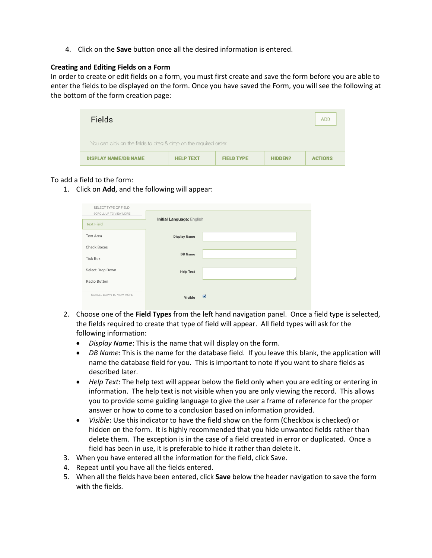4. Click on the **Save** button once all the desired information is entered.

#### **Creating and Editing Fields on a Form**

In order to create or edit fields on a form, you must first create and save the form before you are able to enter the fields to be displayed on the form. Once you have saved the Form, you will see the following at the bottom of the form creation page:

| <b>Fields</b>                                                                          |  |  |  | <b>ADD</b>     |
|----------------------------------------------------------------------------------------|--|--|--|----------------|
| You can click on the fields to drag & drop on the required order.                      |  |  |  |                |
| <b>DISPLAY NAME/DB NAME</b><br><b>HELP TEXT</b><br><b>FIELD TYPE</b><br><b>HIDDEN?</b> |  |  |  | <b>ACTIONS</b> |

#### To add a field to the form:

1. Click on **Add**, and the following will appear:

| SELECT TYPE OF FIELD     |                                  |                |
|--------------------------|----------------------------------|----------------|
| SCROLL UP TO VIEW MORE   | <b>Initial Language: English</b> |                |
| <b>Text Field</b>        |                                  |                |
| <b>Text Area</b>         | <b>Display Name</b>              |                |
| <b>Check Boxes</b>       |                                  |                |
| <b>Tick Box</b>          | <b>DB Name</b>                   |                |
| Select Drop Down         | <b>Help Text</b>                 |                |
| Radio Button             |                                  |                |
| SCROLL DOWN TO VIEW MORE | Visible                          | $\blacksquare$ |

- 2. Choose one of the **Field Types** from the left hand navigation panel. Once a field type is selected, the fields required to create that type of field will appear. All field types will ask for the following information:
	- *Display Name*: This is the name that will display on the form.
	- *DB Name*: This is the name for the database field. If you leave this blank, the application will name the database field for you. This is important to note if you want to share fields as described later.
	- *Help Text*: The help text will appear below the field only when you are editing or entering in information. The help text is not visible when you are only viewing the record. This allows you to provide some guiding language to give the user a frame of reference for the proper answer or how to come to a conclusion based on information provided.
	- *Visible*: Use this indicator to have the field show on the form (Checkbox is checked) or hidden on the form. It is highly recommended that you hide unwanted fields rather than delete them. The exception is in the case of a field created in error or duplicated. Once a field has been in use, it is preferable to hide it rather than delete it.
- 3. When you have entered all the information for the field, click Save.
- 4. Repeat until you have all the fields entered.
- 5. When all the fields have been entered, click **Save** below the header navigation to save the form with the fields.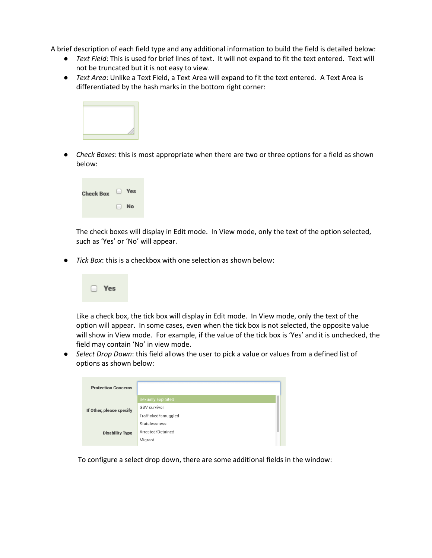A brief description of each field type and any additional information to build the field is detailed below:

- *Text Field*: This is used for brief lines of text. It will not expand to fit the text entered. Text will not be truncated but it is not easy to view.
- *Text Area*: Unlike a Text Field, a Text Area will expand to fit the text entered. A Text Area is differentiated by the hash marks in the bottom right corner:



● *Check Boxes*: this is most appropriate when there are two or three options for a field as shown below:



The check boxes will display in Edit mode. In View mode, only the text of the option selected, such as 'Yes' or 'No' will appear.

*Tick Box*: this is a checkbox with one selection as shown below:



Like a check box, the tick box will display in Edit mode. In View mode, only the text of the option will appear. In some cases, even when the tick box is not selected, the opposite value will show in View mode. For example, if the value of the tick box is 'Yes' and it is unchecked, the field may contain 'No' in view mode.

● *Select Drop Down*: this field allows the user to pick a value or values from a defined list of options as shown below:

| <b>Protection Concerns</b> |                           |  |
|----------------------------|---------------------------|--|
| If Other, please specify   | <b>Sexually Exploited</b> |  |
|                            | <b>GBV survivor</b>       |  |
|                            | Trafficked/smuggled       |  |
|                            | Statelessness             |  |
| <b>Disability Type</b>     | Arrested/Detained         |  |
|                            | Migrant                   |  |
|                            |                           |  |

To configure a select drop down, there are some additional fields in the window: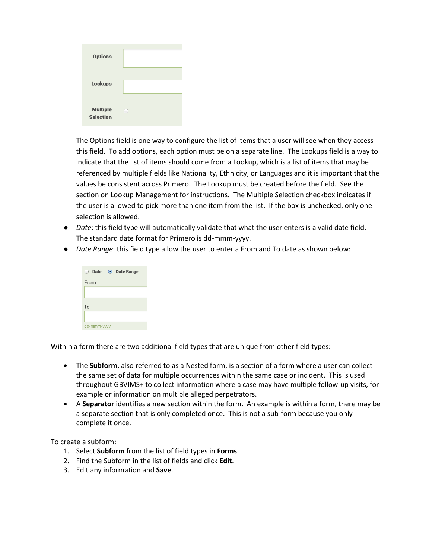| <b>Options</b>                      |  |
|-------------------------------------|--|
| Lookups                             |  |
| <b>Multiple</b><br><b>Selection</b> |  |

The Options field is one way to configure the list of items that a user will see when they access this field. To add options, each option must be on a separate line. The Lookups field is a way to indicate that the list of items should come from a Lookup, which is a list of items that may be referenced by multiple fields like Nationality, Ethnicity, or Languages and it is important that the values be consistent across Primero. The Lookup must be created before the field. See the section on Lookup Management for instructions. The Multiple Selection checkbox indicates if the user is allowed to pick more than one item from the list. If the box is unchecked, only one selection is allowed.

- *Date*: this field type will automatically validate that what the user enters is a valid date field. The standard date format for Primero is dd-mmm-yyyy.
- *Date Range*: this field type allow the user to enter a From and To date as shown below:



Within a form there are two additional field types that are unique from other field types:

- The **Subform**, also referred to as a Nested form, is a section of a form where a user can collect the same set of data for multiple occurrences within the same case or incident. This is used throughout GBVIMS+ to collect information where a case may have multiple follow-up visits, for example or information on multiple alleged perpetrators.
- A **Separator** identifies a new section within the form. An example is within a form, there may be a separate section that is only completed once. This is not a sub-form because you only complete it once.

To create a subform:

- 1. Select **Subform** from the list of field types in **Forms**.
- 2. Find the Subform in the list of fields and click **Edit**.
- 3. Edit any information and **Save**.